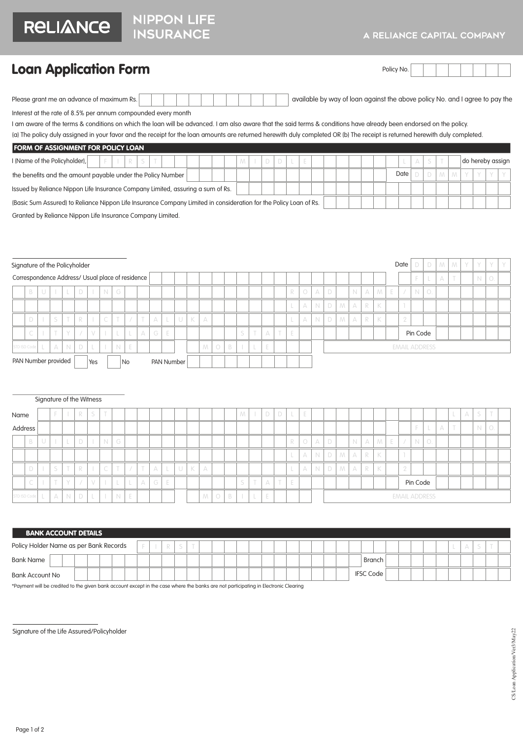## A RELIANCE CAPITAL COMPANY

## Loan Application Form

| Policy<br>Mo. |  |  |  |  |  |
|---------------|--|--|--|--|--|
|               |  |  |  |  |  |

| Please arant me an advance of maximum Rs. |  |  |  |  |  |  |  |  |  |  |  |  | available by way of loan against the above policy No. and I agree to pay the |
|-------------------------------------------|--|--|--|--|--|--|--|--|--|--|--|--|------------------------------------------------------------------------------|
|-------------------------------------------|--|--|--|--|--|--|--|--|--|--|--|--|------------------------------------------------------------------------------|

Interest at the rate of 8.5% per annum compounded every month

I am aware of the terms & conditions on which the loan will be advanced. I am also aware that the said terms & conditions have already been endorsed on the policy.

(a) The policy duly assigned in your favor and the receipt for the loan amounts are returned herewith duly completed OR (b) The receipt is returned herewith duly completed.

| FORM OF ASSIGNMENT FOR POLICY LOAN                                                                                |  |        |  |  |  |      |  |  |                  |  |
|-------------------------------------------------------------------------------------------------------------------|--|--------|--|--|--|------|--|--|------------------|--|
| I (Name of the Policyholder),                                                                                     |  | $\Box$ |  |  |  |      |  |  | do hereby assign |  |
| the benefits and the amount payable under the Policy Number                                                       |  |        |  |  |  | Date |  |  |                  |  |
| Issued by Reliance Nippon Life Insurance Company Limited, assuring a sum of Rs.                                   |  |        |  |  |  |      |  |  |                  |  |
| (Basic Sum Assured) to Reliance Nippon Life Insurance Company Limited in consideration for the Policy Loan of Rs. |  |        |  |  |  |      |  |  |                  |  |
|                                                                                                                   |  |        |  |  |  |      |  |  |                  |  |

Granted by Reliance Nippon Life Insurance Company Limited.

| Signature of the Policyholder |                    |                                                            |        |  |        |            |              |                    |             |                                                  |          |   |  |   |              |   |         |        |                          |          |        |   |            |             |        |   |             |          |                |    | Date                 |             | D                     | M <sub>1</sub> |   | MY | Y. |            | YY |
|-------------------------------|--------------------|------------------------------------------------------------|--------|--|--------|------------|--------------|--------------------|-------------|--------------------------------------------------|----------|---|--|---|--------------|---|---------|--------|--------------------------|----------|--------|---|------------|-------------|--------|---|-------------|----------|----------------|----|----------------------|-------------|-----------------------|----------------|---|----|----|------------|----|
|                               |                    |                                                            |        |  |        |            |              |                    |             | Correspondence Address/ Usual place of residence |          |   |  |   |              |   |         |        |                          |          |        |   |            |             |        |   |             |          |                |    |                      |             |                       | $\wedge$       | T |    | N  | $\bigcirc$ |    |
|                               | B                  | $\cup$                                                     |        |  |        | $\Box$     | $\mathbb{R}$ | N                  | G           |                                                  |          |   |  |   |              |   |         |        |                          |          |        | R | $\bigcirc$ | А           | D      |   | $\mathbb N$ | $\wedge$ | M <sub>1</sub> | E. | $\sqrt{2}$           | $\mathbb N$ | $\overline{\bigcirc}$ |                |   |    |    |            |    |
|                               |                    |                                                            |        |  |        |            |              |                    |             |                                                  |          |   |  |   |              |   |         |        |                          |          |        |   |            | $A \mid N$  | $\Box$ | M | $\wedge$    | R        | K              |    |                      |             |                       |                |   |    |    |            |    |
|                               | D                  |                                                            | C      |  | $\top$ | R          |              | $\curvearrowright$ | $\top$      |                                                  | T        | А |  | U | $\mathbb{K}$ | A |         |        |                          |          |        |   | $\wedge$   | $\mathbb N$ | D      | M | $\wedge$    | R        | K              |    | $\cap$               |             |                       |                |   |    |    |            |    |
|                               | $\curvearrowright$ |                                                            | $\top$ |  | $\vee$ | $\sqrt{2}$ | $\vee$       | $\mathbb{R}$       |             |                                                  | $\wedge$ | G |  |   |              |   |         | $\sim$ | $\overline{\phantom{a}}$ | $\wedge$ | $\top$ | E |            |             |        |   |             |          |                |    |                      | Pin Code    |                       |                |   |    |    |            |    |
|                               | STD ISD Code       |                                                            |        |  | N      | $\Box$     |              | $\mathbb{R}$       | $\mathbb N$ | E                                                |          |   |  |   |              | M | $O$ $B$ |        |                          | E        |        |   |            |             |        |   |             |          |                |    | <b>EMAIL ADDRESS</b> |             |                       |                |   |    |    |            |    |
|                               |                    | A<br>PAN Number provided<br>PAN Number<br>Yes<br><b>No</b> |        |  |        |            |              |                    |             |                                                  |          |   |  |   |              |   |         |        |                          |          |        |   |            |             |        |   |             |          |                |    |                      |             |                       |                |   |    |    |            |    |

|              |                  |        |             |               | Signature of the Witness    |           |                      |            |   |          |              |        |              |          |         |                                                           |   |                          |   |   |   |            |   |       |   |             |          |             |   |                          |             |    |   |          |   |                   |  |
|--------------|------------------|--------|-------------|---------------|-----------------------------|-----------|----------------------|------------|---|----------|--------------|--------|--------------|----------|---------|-----------------------------------------------------------|---|--------------------------|---|---|---|------------|---|-------|---|-------------|----------|-------------|---|--------------------------|-------------|----|---|----------|---|-------------------|--|
| Name         |                  |        |             | R             | S                           | $\sim$    |                      |            |   |          |              |        |              |          |         |                                                           | M | $\overline{\phantom{a}}$ | D | D |   | E          |   |       |   |             |          |             |   |                          |             |    |   | $\wedge$ | S | <b>CONTRACTOR</b> |  |
| Address      |                  |        |             |               |                             |           |                      |            |   |          |              |        |              |          |         |                                                           |   |                          |   |   |   |            |   |       |   |             |          |             |   |                          |             |    | A |          | N | $\circ$           |  |
|              | B                |        |             | D             | $\mathbb{R}$                | N         | G                    |            |   |          |              |        |              |          |         |                                                           |   |                          |   |   | R | $\bigcirc$ | A | D     |   | $\mathbb N$ | $\wedge$ | $M_{\odot}$ | E | $\overline{\phantom{a}}$ | $\mathbb N$ | 0. |   |          |   |                   |  |
|              |                  |        |             |               |                             |           |                      |            |   |          |              |        |              |          |         |                                                           |   |                          |   |   |   | $\wedge$   |   | $N$ D | M | A           | R        | $\mathbb K$ |   |                          |             |    |   |          |   |                   |  |
|              | D                |        | $\sim$      | R             | $\mathcal{L}_{\mathcal{A}}$ | $\subset$ | $\mathcal{T}^{\ast}$ | $\sqrt{2}$ | T | $\wedge$ | $\mathbb{L}$ | $\cup$ | $\mathbb{K}$ | $\wedge$ |         |                                                           |   |                          |   |   |   | $\wedge$   | N | D     |   | $\wedge$    | R        | K           |   | -2                       |             |    |   |          |   |                   |  |
|              | $\sim$<br>$\sim$ | $\sim$ | V.          | $\frac{1}{2}$ | $\vee$                      |           |                      |            | A | G        | E            |        |              |          |         |                                                           | S | T                        | A | T | E |            |   |       |   |             |          |             |   |                          |             |    |   |          |   |                   |  |
| STD ISD Code |                  | A      | $\mathbb N$ | D             | L                           |           | N                    | E          |   |          |              |        |              | M        | $\circ$ | $M_{\odot}$<br>Pin Code<br>E<br>B<br><b>EMAIL ADDRESS</b> |   |                          |   |   |   |            |   |       |   |             |          |             |   |                          |             |    |   |          |   |                   |  |

| <b>BANK ACCOUNT DETAILS</b>            |                  |        |
|----------------------------------------|------------------|--------|
| Policy Holder Name as per Bank Records |                  |        |
| Bank Name                              |                  | Branch |
| Bank Account No                        | <b>IFSC Code</b> |        |

\*Payment will be credited to the given bank account except in the case where the banks are not participating in Electronic Clearing

Signature of the Life Assured/Policyholder